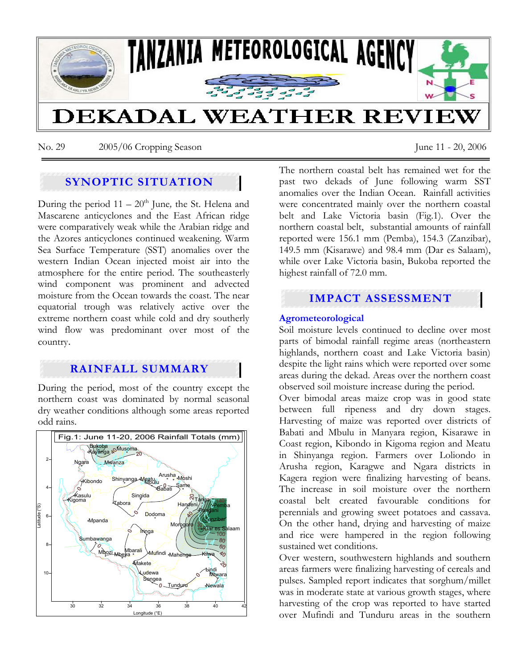

No. 29 2005/06 Cropping Season June 11 - 20, 2006

# **SYNOPTIC SITUATION**

During the period  $11 - 20<sup>th</sup>$  June, the St. Helena and Mascarene anticyclones and the East African ridge were comparatively weak while the Arabian ridge and the Azores anticyclones continued weakening. Warm Sea Surface Temperature (SST) anomalies over the western Indian Ocean injected moist air into the atmosphere for the entire period. The southeasterly wind component was prominent and advected moisture from the Ocean towards the coast. The near equatorial trough was relatively active over the extreme northern coast while cold and dry southerly wind flow was predominant over most of the country.

## **RAINFALL SUMMARY**

During the period, most of the country except the northern coast was dominated by normal seasonal dry weather conditions although some areas reported odd rains.



The northern coastal belt has remained wet for the past two dekads of June following warm SST anomalies over the Indian Ocean. Rainfall activities were concentrated mainly over the northern coastal belt and Lake Victoria basin (Fig.1). Over the northern coastal belt, substantial amounts of rainfall reported were 156.1 mm (Pemba), 154.3 (Zanzibar), 149.5 mm (Kisarawe) and 98.4 mm (Dar es Salaam), while over Lake Victoria basin, Bukoba reported the highest rainfall of 72.0 mm.

# **IMPACT ASSESSMENT**

## **Agrometeorological**

Soil moisture levels continued to decline over most parts of bimodal rainfall regime areas (northeastern highlands, northern coast and Lake Victoria basin) despite the light rains which were reported over some areas during the dekad. Areas over the northern coast observed soil moisture increase during the period.

Over bimodal areas maize crop was in good state between full ripeness and dry down stages. Harvesting of maize was reported over districts of Babati and Mbulu in Manyara region, Kisarawe in Coast region, Kibondo in Kigoma region and Meatu in Shinyanga region. Farmers over Loliondo in Arusha region, Karagwe and Ngara districts in Kagera region were finalizing harvesting of beans. The increase in soil moisture over the northern coastal belt created favourable conditions for perennials and growing sweet potatoes and cassava. On the other hand, drying and harvesting of maize and rice were hampered in the region following sustained wet conditions.

Over western, southwestern highlands and southern areas farmers were finalizing harvesting of cereals and pulses. Sampled report indicates that sorghum/millet was in moderate state at various growth stages, where harvesting of the crop was reported to have started over Mufindi and Tunduru areas in the southern